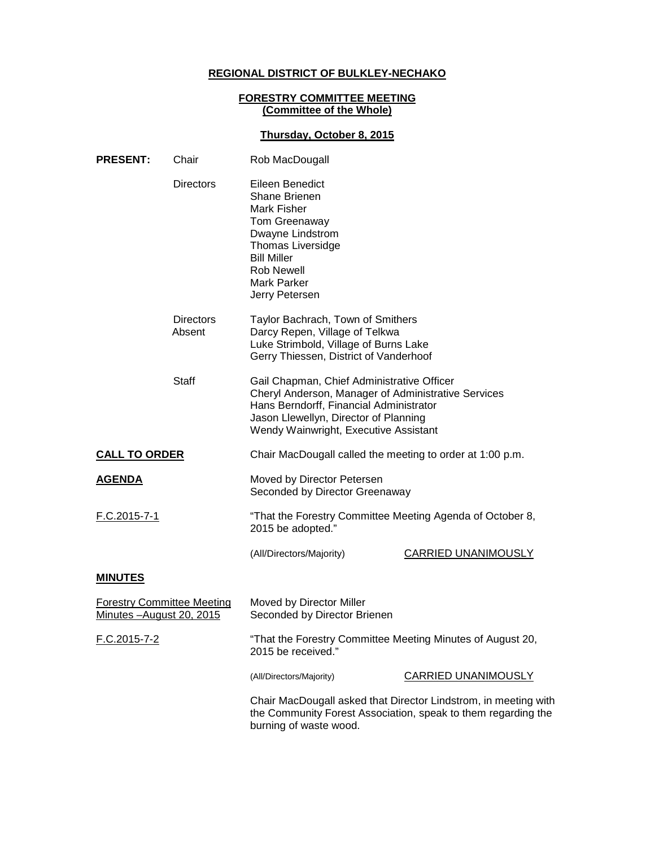# **REGIONAL DISTRICT OF BULKLEY-NECHAKO**

## **FORESTRY COMMITTEE MEETING (Committee of the Whole)**

### **Thursday, October 8, 2015**

| <b>PRESENT:</b>                                                | Chair                      | Rob MacDougall                                                                                                                                                                                                                 |                            |
|----------------------------------------------------------------|----------------------------|--------------------------------------------------------------------------------------------------------------------------------------------------------------------------------------------------------------------------------|----------------------------|
|                                                                | <b>Directors</b>           | Eileen Benedict<br><b>Shane Brienen</b><br><b>Mark Fisher</b><br>Tom Greenaway<br>Dwayne Lindstrom<br><b>Thomas Liversidge</b><br><b>Bill Miller</b><br>Rob Newell<br>Mark Parker<br>Jerry Petersen                            |                            |
|                                                                | <b>Directors</b><br>Absent | Taylor Bachrach, Town of Smithers<br>Darcy Repen, Village of Telkwa<br>Luke Strimbold, Village of Burns Lake<br>Gerry Thiessen, District of Vanderhoof                                                                         |                            |
|                                                                | <b>Staff</b>               | Gail Chapman, Chief Administrative Officer<br>Cheryl Anderson, Manager of Administrative Services<br>Hans Berndorff, Financial Administrator<br>Jason Llewellyn, Director of Planning<br>Wendy Wainwright, Executive Assistant |                            |
| <b>CALL TO ORDER</b>                                           |                            | Chair MacDougall called the meeting to order at 1:00 p.m.                                                                                                                                                                      |                            |
| <b>AGENDA</b>                                                  |                            | Moved by Director Petersen<br>Seconded by Director Greenaway                                                                                                                                                                   |                            |
| <u>F.C.2015-7-1</u>                                            |                            | "That the Forestry Committee Meeting Agenda of October 8,<br>2015 be adopted."                                                                                                                                                 |                            |
|                                                                |                            | (All/Directors/Majority)                                                                                                                                                                                                       | <b>CARRIED UNANIMOUSLY</b> |
| <b>MINUTES</b>                                                 |                            |                                                                                                                                                                                                                                |                            |
| <b>Forestry Committee Meeting</b><br>Minutes - August 20, 2015 |                            | Moved by Director Miller<br>Seconded by Director Brienen                                                                                                                                                                       |                            |
| F.C.2015-7-2                                                   |                            | "That the Forestry Committee Meeting Minutes of August 20,<br>2015 be received."                                                                                                                                               |                            |
|                                                                |                            | (All/Directors/Majority)                                                                                                                                                                                                       | <b>CARRIED UNANIMOUSLY</b> |
|                                                                |                            | Chair MacDougall asked that Director Lindstrom, in meeting with<br>the Community Forest Association, speak to them regarding the<br>burning of waste wood.                                                                     |                            |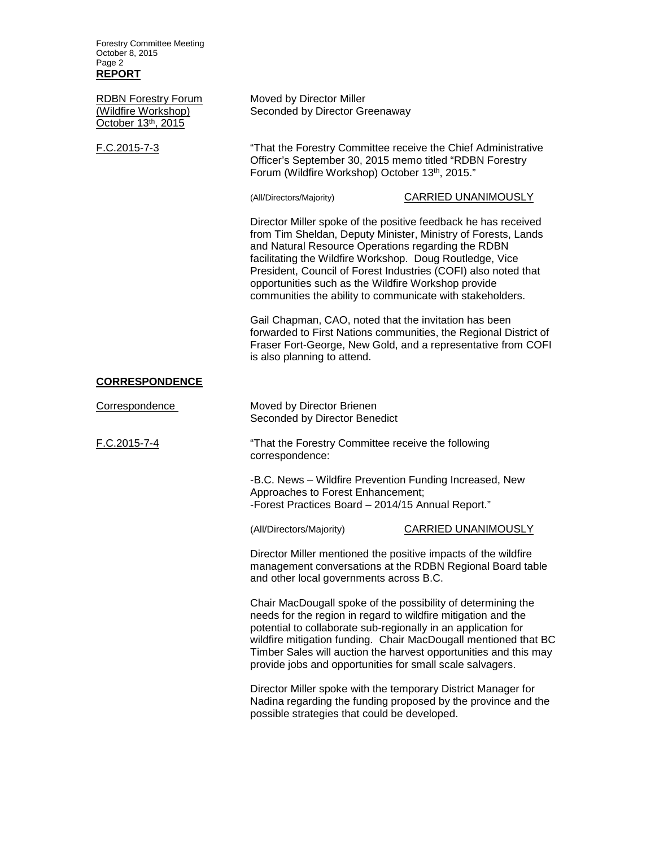| <b>Forestry Committee Meeting</b><br>October 8, 2015<br>Page 2<br><b>REPORT</b> |                                                                                                                                                                                                                                                                                                                                                                                                                                         |  |  |
|---------------------------------------------------------------------------------|-----------------------------------------------------------------------------------------------------------------------------------------------------------------------------------------------------------------------------------------------------------------------------------------------------------------------------------------------------------------------------------------------------------------------------------------|--|--|
| <b>RDBN Forestry Forum</b><br>(Wildfire Workshop)<br>October 13th, 2015         | Moved by Director Miller<br>Seconded by Director Greenaway                                                                                                                                                                                                                                                                                                                                                                              |  |  |
| F.C.2015-7-3                                                                    | "That the Forestry Committee receive the Chief Administrative<br>Officer's September 30, 2015 memo titled "RDBN Forestry<br>Forum (Wildfire Workshop) October 13th, 2015."                                                                                                                                                                                                                                                              |  |  |
|                                                                                 | <b>CARRIED UNANIMOUSLY</b><br>(All/Directors/Majority)                                                                                                                                                                                                                                                                                                                                                                                  |  |  |
|                                                                                 | Director Miller spoke of the positive feedback he has received<br>from Tim Sheldan, Deputy Minister, Ministry of Forests, Lands<br>and Natural Resource Operations regarding the RDBN<br>facilitating the Wildfire Workshop. Doug Routledge, Vice<br>President, Council of Forest Industries (COFI) also noted that<br>opportunities such as the Wildfire Workshop provide<br>communities the ability to communicate with stakeholders. |  |  |
|                                                                                 | Gail Chapman, CAO, noted that the invitation has been<br>forwarded to First Nations communities, the Regional District of<br>Fraser Fort-George, New Gold, and a representative from COFI<br>is also planning to attend.                                                                                                                                                                                                                |  |  |
| <b>CORRESPONDENCE</b>                                                           |                                                                                                                                                                                                                                                                                                                                                                                                                                         |  |  |
| Correspondence                                                                  | Moved by Director Brienen<br>Seconded by Director Benedict                                                                                                                                                                                                                                                                                                                                                                              |  |  |
| F.C.2015-7-4                                                                    | "That the Forestry Committee receive the following<br>correspondence:                                                                                                                                                                                                                                                                                                                                                                   |  |  |
|                                                                                 | -B.C. News - Wildfire Prevention Funding Increased, New<br>Approaches to Forest Enhancement;<br>-Forest Practices Board - 2014/15 Annual Report."                                                                                                                                                                                                                                                                                       |  |  |
|                                                                                 | <b>CARRIED UNANIMOUSLY</b><br>(All/Directors/Majority)                                                                                                                                                                                                                                                                                                                                                                                  |  |  |
|                                                                                 | Director Miller mentioned the positive impacts of the wildfire<br>management conversations at the RDBN Regional Board table<br>and other local governments across B.C.                                                                                                                                                                                                                                                                  |  |  |
|                                                                                 | Chair MacDougall spoke of the possibility of determining the<br>needs for the region in regard to wildfire mitigation and the<br>potential to collaborate sub-regionally in an application for<br>wildfire mitigation funding. Chair MacDougall mentioned that BC<br>Timber Sales will auction the harvest opportunities and this may<br>provide jobs and opportunities for small scale salvagers.                                      |  |  |
|                                                                                 | Director Miller spoke with the temporary District Manager for<br>Nadina regarding the funding proposed by the province and the<br>possible strategies that could be developed.                                                                                                                                                                                                                                                          |  |  |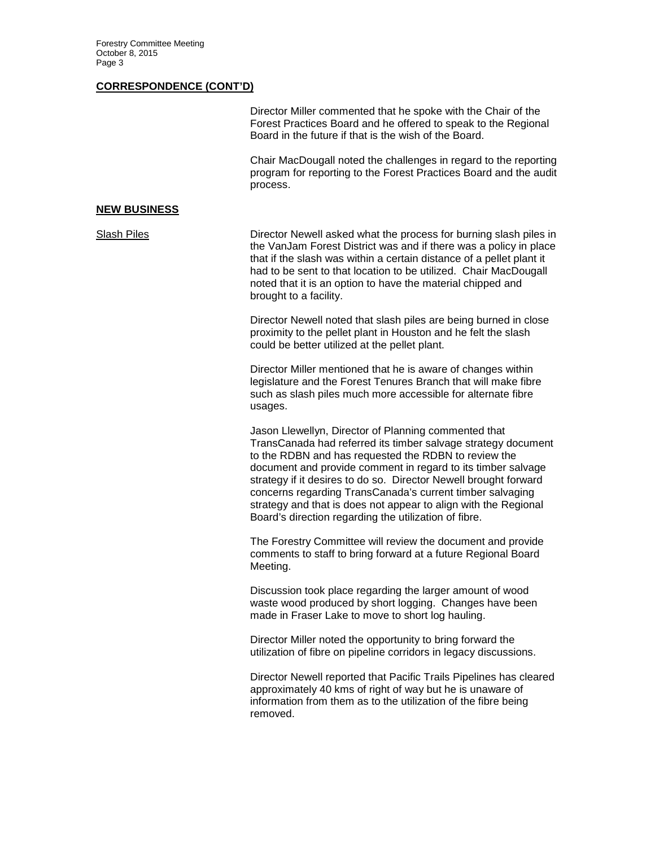#### **CORRESPONDENCE (CONT'D)**

| Director Miller commented that he spoke with the Chair of the  |
|----------------------------------------------------------------|
| Forest Practices Board and he offered to speak to the Regional |
| Board in the future if that is the wish of the Board.          |

Chair MacDougall noted the challenges in regard to the reporting program for reporting to the Forest Practices Board and the audit process.

#### **NEW BUSINESS**

Slash Piles Director Newell asked what the process for burning slash piles in the VanJam Forest District was and if there was a policy in place that if the slash was within a certain distance of a pellet plant it had to be sent to that location to be utilized. Chair MacDougall noted that it is an option to have the material chipped and brought to a facility.

> Director Newell noted that slash piles are being burned in close proximity to the pellet plant in Houston and he felt the slash could be better utilized at the pellet plant.

Director Miller mentioned that he is aware of changes within legislature and the Forest Tenures Branch that will make fibre such as slash piles much more accessible for alternate fibre usages.

Jason Llewellyn, Director of Planning commented that TransCanada had referred its timber salvage strategy document to the RDBN and has requested the RDBN to review the document and provide comment in regard to its timber salvage strategy if it desires to do so. Director Newell brought forward concerns regarding TransCanada's current timber salvaging strategy and that is does not appear to align with the Regional Board's direction regarding the utilization of fibre.

The Forestry Committee will review the document and provide comments to staff to bring forward at a future Regional Board Meeting.

Discussion took place regarding the larger amount of wood waste wood produced by short logging. Changes have been made in Fraser Lake to move to short log hauling.

Director Miller noted the opportunity to bring forward the utilization of fibre on pipeline corridors in legacy discussions.

Director Newell reported that Pacific Trails Pipelines has cleared approximately 40 kms of right of way but he is unaware of information from them as to the utilization of the fibre being removed.